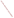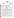**THE ENVIRONMENTAL TECHNOLOGY VERIFICATION PROGRAM** 







## **Verification Statement**

| <b>TECHNOLOGY TYPE:</b> | ANODIC STRIPPING VOLTAMMETRY                                                  |                                               |
|-------------------------|-------------------------------------------------------------------------------|-----------------------------------------------|
| <b>APPLICATION:</b>     | <b>MEASUREMENT OF LEAD IN DUST WIPES</b>                                      |                                               |
| <b>TECHNOLOGY NAME:</b> | <b>PDV 5000 Trace Element Analyzer</b>                                        |                                               |
| <b>COMPANY:</b>         | <b>Monitoring Technologies International</b>                                  |                                               |
| <b>ADDRESS:</b>         | <b>78 Collingwood Street</b><br>Osborne Park 6017<br>Perth, Western Australia | PHONE: +61 8 9204 3600<br>FAX: $+61892042602$ |
| WEB SITE:<br>$E-MAIL:$  | www.mti.com.au<br>cgreen@colingreen.idps.co.uk                                |                                               |

The U.S. Environmental Protection Agency (EPA) has created the Environmental Technology Verification Program (ETV) to facilitate the deployment of innovative or improved environmental technologies through performance verification and dissemination of information. The goal of the ETV Program is to further environmental protection by substantially accelerating the acceptance and use of improved and cost-effective technologies. ETV seeks to achieve this goal by providing high-quality, peer-reviewed data on technology performance to those involved in the design, distribution, financing, permitting, purchase, and use of environmental technologies.

ETV works in partnership with recognized standards and testing organizations and stakeholder groups consisting of regulators, buyers, and vendor organizations, with the full participation of individual technology developers. The program evaluates the performance of innovative technologies by developing test plans that are responsive to the needs of stakeholders, conducting field or laboratory tests (as appropriate), collecting and analyzing data, and preparing peer-reviewed reports. All evaluations are conducted in accordance with rigorous quality assurance protocols to ensure that data of known and adequate quality are generated and that the results are defensible.

Oak Ridge National Laboratory (ORNL) is one of the verification organizations operating under the Advanced Monitoring Technology (AMT) Center. AMT, which is administered by EPA's National Exposure Research Laboratory (NERL), is one of six technology areas under ETV. In this verification test, ORNL evaluated the performance of lead in dust wipe measurement technologies. This verification statement provides a summary of the test results for Monitoring Technologies International's (MTI) PDV5000 trace metal analyzer.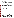## **VERIFICATION TEST DESCRIPTION**

This verification test was designed to evaluate technologies that detect and measure lead in dust wipes. The test was conducted at the Capitol Community Technical College in Hartford, CT, from November 5 through November 9, 2001. The vendors of commercially-available, field portable technologies blindly analyzed 160 dust wipe samples containing known amounts of lead, ranging in concentration from  $\leq$  2 to  $1,500 \mu g/wipe$ . The experimental design was particularly focused on important clearance standards, such as those identified in 40 CFR Part 745.227(e)(8)(viii) of 40  $\mu$ g/ft<sup>2</sup> for floors, 250  $\mu$ g/ft<sup>2</sup> for window sills, and 400  $\mu$ g/ft<sup>2</sup> for window troughs. The samples included wipes newly-prepared and archived from the Environmental Lead Proficiency Analytical Testing Program (ELPAT). These samples were prepared from dust collected in households in North Carolina and Wisconsin. Also, newly-prepared samples were acquired from the University of Cincinnati (UC). The UC dust wipe samples were prepared from National Institute of Standards and Technology (NIST) Standard Reference Materials (SRMs). The results of the lead analyses generated by the technology were compared with results from analyses of similar samples by conventional laboratory methodology in a laboratory that was recognized as proficient by the National Lead Laboratory Accreditation Program (NLLAP) for dust testing. Details of the test, including a data summary and discussion of results, may be found in the report entitled *Environmental Technology Verification Report: Lead in Dust Wipe Detection Technology— Monitoring Technologies International, PDV 5000 Trace Metal Analyzer,* EPA/600/R-02/060.

## **TECHNOLOGY DESCRIPTION**

MTI's PDV 5000, a field portable instrument, is a self-contained anodic stripping analyzer. Anodic Stripping Voltammetry (ASV) works by electroplating metals in solution onto an electrode. This concentrates the metal. The metals on the electrode are then sequentially stripped off, which generates a current that can be measured. The current (milliamps) is proportional to the amount of metal being stripped off. The potential (voltage in millivolts) at which the metal is stripped off is characteristic for each metal. This means the metal can be identified as well as quantified.

## **VERIFICATION OF PERFORMANCE**

The following performance characteristics of the PDV 5000 were observed:

*Precision:* Precision—based on the average percent relative standard deviation—22% for the ELPAT samples and 21% for the UC samples, excluding two outlier values.

*Accuracy:* Accuracy was assessed using the estimated concentrations of the ELPAT and UC samples. The average percent recovery value for all samples reported above 30  $\mu$ g/wipe was 88% for the UC samples and 93% for the ELPAT samples. The range of percent recoveries values was from 35% to 137%. This negative bias is statistically significant, but the average value is within the acceptable bias range of  $100\% \pm 25\%$ . For the NLLAP laboratory results, the average percent recovery values were 98% and 91%, respectively, for the ELPAT and UC samples. The negative bias for both the ELPAT and UC samples was statistically significant.

**Comparability:** A comparison of the PDV 5000 results and the NLLAP-recognized laboratory results was performed for all samples (ELPAT and UC) that were reported above 30  $\mu$ g/wipe. The correlation coefficient (*r*) for the comparison to NLLAP lab results for the UC samples was 0.999 [slope (*m*) = 1.074, intercept  $= -14.345$ ], and for the ELPAT samples was 0.988 [ $m = 0.885$ , intercept  $= 15.633$ ]. While the slopes for both the ELPAT and UC samples were statistically different than 1.00, the correlation coefficients show a strong linear agreement with the NLLAP laboratory data.

*Detectable blanks:* All twenty samples, prepared at concentrations around  $1 \mu g/wipe$ , were reported